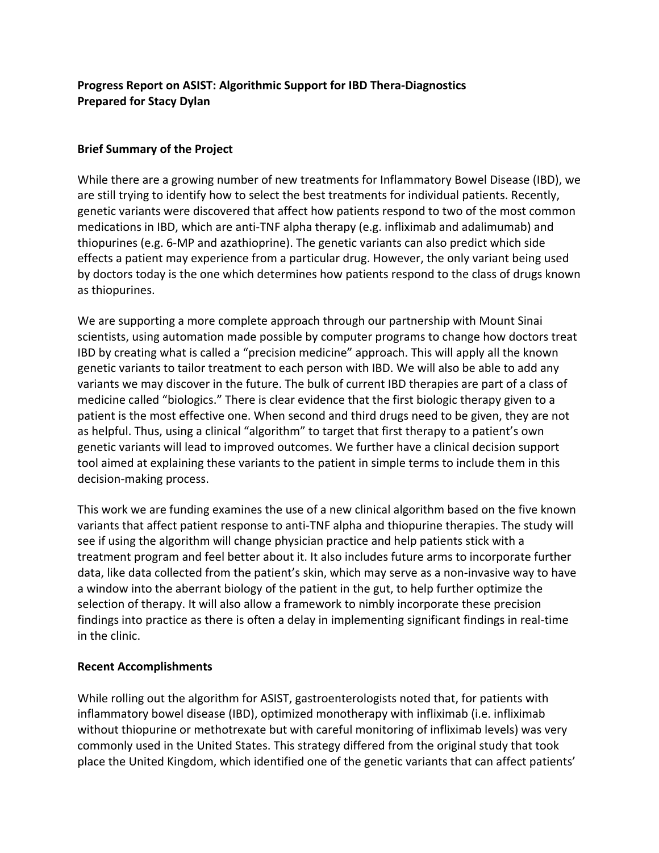## **Progress Report on ASIST: Algorithmic Support for IBD Thera-Diagnostics Prepared for Stacy Dylan**

## **Brief Summary of the Project**

While there are a growing number of new treatments for Inflammatory Bowel Disease (IBD), we are still trying to identify how to select the best treatments for individual patients. Recently, genetic variants were discovered that affect how patients respond to two of the most common medications in IBD, which are anti-TNF alpha therapy (e.g. infliximab and adalimumab) and thiopurines (e.g. 6-MP and azathioprine). The genetic variants can also predict which side effects a patient may experience from a particular drug. However, the only variant being used by doctors today is the one which determines how patients respond to the class of drugs known as thiopurines.

We are supporting a more complete approach through our partnership with Mount Sinai scientists, using automation made possible by computer programs to change how doctors treat IBD by creating what is called a "precision medicine" approach. This will apply all the known genetic variants to tailor treatment to each person with IBD. We will also be able to add any variants we may discover in the future. The bulk of current IBD therapies are part of a class of medicine called "biologics." There is clear evidence that the first biologic therapy given to a patient is the most effective one. When second and third drugs need to be given, they are not as helpful. Thus, using a clinical "algorithm" to target that first therapy to a patient's own genetic variants will lead to improved outcomes. We further have a clinical decision support tool aimed at explaining these variants to the patient in simple terms to include them in this decision-making process.

This work we are funding examines the use of a new clinical algorithm based on the five known variants that affect patient response to anti-TNF alpha and thiopurine therapies. The study will see if using the algorithm will change physician practice and help patients stick with a treatment program and feel better about it. It also includes future arms to incorporate further data, like data collected from the patient's skin, which may serve as a non-invasive way to have a window into the aberrant biology of the patient in the gut, to help further optimize the selection of therapy. It will also allow a framework to nimbly incorporate these precision findings into practice as there is often a delay in implementing significant findings in real-time in the clinic.

## **Recent Accomplishments**

While rolling out the algorithm for ASIST, gastroenterologists noted that, for patients with inflammatory bowel disease (IBD), optimized monotherapy with infliximab (i.e. infliximab without thiopurine or methotrexate but with careful monitoring of infliximab levels) was very commonly used in the United States. This strategy differed from the original study that took place the United Kingdom, which identified one of the genetic variants that can affect patients'